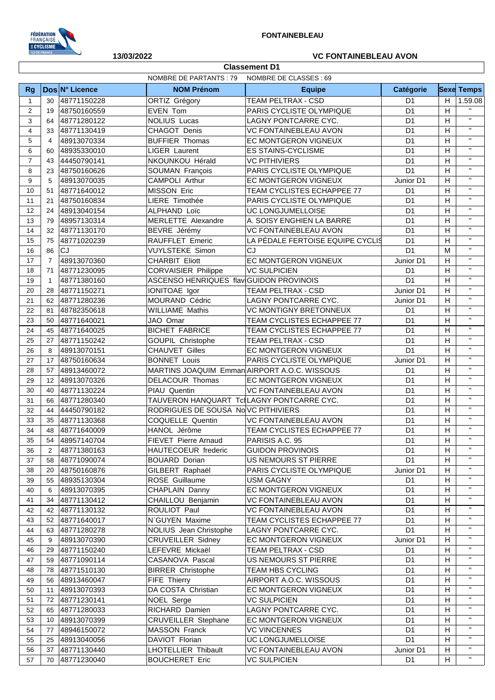

**Classement D1**

## **13/03/2022 VC FONTAINEBLEAU AVON**

|                | <b>NOMBRE DE PARTANTS: 79</b><br>NOMBRE DE CLASSES : 69 |                |                                         |                                              |                                  |    |                   |  |
|----------------|---------------------------------------------------------|----------------|-----------------------------------------|----------------------------------------------|----------------------------------|----|-------------------|--|
| Rg             |                                                         | Dos N° Licence | <b>NOM Prénom</b>                       | <b>Equipe</b>                                | Catégorie                        |    | <b>Sexe Temps</b> |  |
| $\mathbf{1}$   | 30                                                      | 48771150228    | ORTIZ Grégory                           | <b>TEAM PELTRAX - CSD</b>                    | D <sub>1</sub>                   | H  | 1.59.08           |  |
| $\overline{2}$ | 19                                                      | 48750160559    | EVEN Tom                                | PARIS CYCLISTE OLYMPIQUE                     | D <sub>1</sub>                   | Η  |                   |  |
| 3              | 64                                                      | 48771280122    | <b>NOLIUS Lucas</b>                     | LAGNY PONTCARRE CYC.                         | D <sub>1</sub>                   | H  | $\mathbf{H}$      |  |
| $\overline{4}$ | 33                                                      | 48771130419    | CHAGOT Denis                            | VC FONTAINEBLEAU AVON                        | D <sub>1</sub>                   | H  | $\mathbf{H}$      |  |
| 5              | 4                                                       | 48913070334    | <b>BUFFIER Thomas</b>                   | EC MONTGERON VIGNEUX                         | D <sub>1</sub>                   | н  | $\mathbf{H}$      |  |
| 6              | 60                                                      | 48935330010    | <b>LIGER Laurent</b>                    | <b>ES STAINS-CYCLISME</b>                    | D <sub>1</sub>                   | H  | $\mathbf{H}$      |  |
| $\overline{7}$ | 43                                                      | 44450790141    | NKOUNKOU Hérald                         | <b>VC PITHIVIERS</b>                         | D <sub>1</sub>                   | H  | $\mathbf{H}$      |  |
| 8              | 23                                                      | 48750160626    | SOUMAN François                         | PARIS CYCLISTE OLYMPIQUE                     | D <sub>1</sub>                   | н  | $\mathbf{H}$      |  |
| 9              | 5                                                       | 48913070035    | <b>CAMPOLI Arthur</b>                   | EC MONTGERON VIGNEUX                         | Junior D1                        | Н  | $\mathbf{H}$      |  |
| 10             | 51                                                      | 48771640012    | <b>MISSON Eric</b>                      | TEAM CYCLISTES ECHAPPEE 77                   | D <sub>1</sub>                   | H  | $\mathbf{H}$      |  |
| 11             | 21                                                      | 48750160834    | LIERE Timothée                          | PARIS CYCLISTE OLYMPIQUE                     | D <sub>1</sub>                   | H  | $\mathbf{H}$      |  |
| 12             | 24                                                      | 48913040154    | ALPHAND Loïc                            | UC LONGJUMELLOISE                            | D <sub>1</sub>                   | H  | $\mathbf{H}$      |  |
| 13             | 79                                                      | 48957130314    | MERLETTE Alexandre                      | A. SOISY ENGHIEN LA BARRE                    | D <sub>1</sub>                   | H  | $\mathbf{H}$      |  |
| 14             | 32                                                      | 48771130170    | BEVRE Jérémy                            | <b>VC FONTAINEBLEAU AVON</b>                 | D <sub>1</sub>                   | H  | $\mathbf{H}$      |  |
| 15             | 75                                                      | 48771020239    | RAUFFLET Emeric                         | LA PÉDALE FERTOISE EQUIPE CYCLIS             | D <sub>1</sub>                   | н  | $\mathbf{H}$      |  |
| 16             | 86                                                      | CJ             | <b>VUYLSTEKE Simon</b>                  | CJ                                           | D <sub>1</sub>                   | M  | $\mathbf{H}$      |  |
| 17             | $\overline{7}$                                          | 48913070360    | <b>CHARBIT Eliott</b>                   | EC MONTGERON VIGNEUX                         | Junior D1                        | Н  | $\mathbf{H}$      |  |
| 18             | 71                                                      | 48771230095    | <b>CORVAISIER Philippe</b>              | <b>VC SULPICIEN</b>                          | D <sub>1</sub>                   | H  | $\mathbf{H}$      |  |
| 19             | $\mathbf{1}$                                            | 48771380160    | ASCENSO HENRIQUES flav GUIDON PROVINOIS |                                              | D <sub>1</sub>                   | H  | $\mathbf{H}$      |  |
| 20             | 28                                                      | 48771150271    | IONITOAE Igor                           | <b>TEAM PELTRAX - CSD</b>                    | Junior D1                        | H  | $\mathbf{H}$      |  |
| 21             | 62                                                      | 48771280236    | MOURAND Cédric                          | LAGNY PONTCARRE CYC.                         | Junior D1                        | H  | $\mathbf{H}$      |  |
| 22             | 81                                                      | 48782350618    | <b>WILLIAME Mathis</b>                  | <b>VC MONTIGNY BRETONNEUX</b>                | D <sub>1</sub>                   | H  | $\mathbf{H}$      |  |
| 23             | 50                                                      | 48771640021    | JAO Omar                                | TEAM CYCLISTES ECHAPPEE 77                   | D <sub>1</sub>                   | H  | $\mathbf{H}$      |  |
| 24             | 45                                                      | 48771640025    | <b>BICHET FABRICE</b>                   | TEAM CYCLISTES ECHAPPEE 77                   | D <sub>1</sub>                   | Н  | $\mathbf{H}$      |  |
| 25             | 27                                                      | 48771150242    | GOUPIL Christophe                       | TEAM PELTRAX - CSD                           | D <sub>1</sub>                   | Н  | $\mathbf{H}$      |  |
| 26             | 8                                                       | 48913070151    | <b>CHAUVET Gilles</b>                   | EC MONTGERON VIGNEUX                         | D <sub>1</sub>                   | H  | $\mathbf{H}$      |  |
| 27             | 17                                                      | 48750160634    | <b>BONNET Louis</b>                     | PARIS CYCLISTE OLYMPIQUE                     | Junior D1                        | H  | $\mathbf{H}$      |  |
| 28             | 57                                                      | 48913460072    |                                         | MARTINS JOAQUIM Emman AIRPORT A.O.C. WISSOUS | D <sub>1</sub>                   | H  | $\mathbf{H}$      |  |
| 29             | 12                                                      | 48913070326    | DELACOUR Thomas                         | EC MONTGERON VIGNEUX                         | D <sub>1</sub>                   | H  | $\mathbf{H}$      |  |
| 30             | 40                                                      | 48771130224    | PIAU Quentin                            | <b>VC FONTAINEBLEAU AVON</b>                 | D <sub>1</sub>                   | H  | $\mathbf{H}$      |  |
| 31             | 66                                                      | 48771280340    |                                         | TAUVERON HANQUART TclLAGNY PONTCARRE CYC.    | D <sub>1</sub>                   | Н  | $\mathbf{H}$      |  |
| 32             | 44                                                      | 44450790182    | RODRIGUES DE SOUSA NoVC PITHIVIERS      |                                              | D <sub>1</sub>                   | H  | $\mathbf{H}$      |  |
| 33             | 35                                                      | 48771130368    | COQUELLE Quentin                        | <b>VC FONTAINEBLEAU AVON</b>                 | D <sub>1</sub>                   | H  | $\mathbf{H}$      |  |
| 34             | 48                                                      | 48771640009    | HANOL Jérôme                            | TEAM CYCLISTES ECHAPPEE 77                   | D <sub>1</sub>                   | Η  | $\mathbf{H}$      |  |
| 35             | 54                                                      | 48957140704    | FIEVET Pierre Arnaud                    | PARISIS A.C. 95                              | D <sub>1</sub>                   | H  | $\mathbf{H}$      |  |
| 36             | 2                                                       | 48771380163    | HAUTECOEUR frederic                     | <b>GUIDON PROVINOIS</b>                      | D1                               | H  | $\mathbf{H}$      |  |
| 37             | 58                                                      | 48771090074    | <b>BOUARD Dorian</b>                    | US NEMOURS ST PIERRE                         | D <sub>1</sub>                   | Η  | $\mathbf{H}$      |  |
| 38             | 20                                                      | 48750160876    | GILBERT Raphaël                         | PARIS CYCLISTE OLYMPIQUE                     | Junior D1                        | н  | 'n                |  |
| 39             | 55                                                      | 48935130304    | ROSE Guillaume                          | <b>USM GAGNY</b>                             | D <sub>1</sub>                   | Η  | $\mathbf{H}$      |  |
| 40             | 6                                                       | 48913070395    | CHAPLAIN Danny                          | EC MONTGERON VIGNEUX                         | D <sub>1</sub>                   | Η  | $\mathbf{H}$      |  |
| 41             | 34                                                      | 48771130412    | CHAILLOU Benjamin                       | VC FONTAINEBLEAU AVON                        | D <sub>1</sub>                   | н  | $\mathbf{H}$      |  |
| 42             | 42                                                      | 48771130132    | ROULIOT Paul                            | VC FONTAINEBLEAU AVON                        | D <sub>1</sub>                   | Η  | $\mathbf{H}$      |  |
| 43             | 52                                                      | 48771640017    | N`GUYEN Maxime                          | TEAM CYCLISTES ECHAPPEE 77                   | D <sub>1</sub>                   | Η  | $\mathbf{H}$      |  |
| 44             | 63                                                      | 48771280278    | NOLIUS Jean Christophe                  | LAGNY PONTCARRE CYC.                         | D <sub>1</sub>                   | Η  | $\mathbf{H}$      |  |
| 45             | 9                                                       | 48913070390    | <b>CRUVEILLER Sidney</b>                | EC MONTGERON VIGNEUX                         | Junior D1                        | н  | $\mathbf{H}$      |  |
| 46             | 29                                                      | 48771150240    | LEFEVRE Mickaël                         | TEAM PELTRAX - CSD                           | D1                               | Η  | $\mathbf{H}$      |  |
| 47             | 59                                                      | 48771090114    | CASANOVA Pascal                         | US NEMOURS ST PIERRE                         | D <sub>1</sub>                   | Η  | $\mathbf{H}$      |  |
| 48             | 78                                                      | 48771510130    | <b>BIRRER Christophe</b>                | TEAM HBS CYCLING                             | D <sub>1</sub>                   | Η  | $\mathbf{H}$      |  |
| 49             | 56                                                      | 48913460047    | FIFE Thierry                            | AIRPORT A.O.C. WISSOUS                       | D <sub>1</sub>                   | Η  | $\mathbf{H}$      |  |
| 50             | 11                                                      | 48913070393    | DA COSTA Christian                      | EC MONTGERON VIGNEUX                         | D <sub>1</sub>                   | Η  | $\mathbf{H}$      |  |
| 51             | 72                                                      | 48771230141    | NOEL Serge                              | <b>VC SULPICIEN</b>                          | D <sub>1</sub>                   | Η  | $\mathbf{H}$      |  |
| 52             | 65                                                      | 48771280033    | RICHARD Damien                          | LAGNY PONTCARRE CYC.                         | D <sub>1</sub>                   | H  | $\mathbf{H}$      |  |
| 53             | 10                                                      | 48913070399    |                                         | EC MONTGERON VIGNEUX                         | D <sub>1</sub>                   | H  | $\mathbf{H}$      |  |
|                |                                                         |                | <b>CRUVEILLER Stephane</b>              |                                              |                                  | H  | $\mathbf{H}$      |  |
| 54<br>55       | 77                                                      | 48946150072    | <b>MASSON Franck</b>                    | <b>VC VINCENNES</b>                          | D <sub>1</sub><br>D <sub>1</sub> | H  | $\mathbf{H}$      |  |
|                | 25                                                      | 48913040056    | DAVIOT Florian                          | UC LONGJUMELLOISE                            |                                  |    | $\mathbf{H}$      |  |
| 56             | 37                                                      | 48771130440    | <b>LHOTELLIER Thibault</b>              | VC FONTAINEBLEAU AVON                        | Junior D1                        | H  | $\mathbf{H}$      |  |
| 57             | 70                                                      | 48771230040    | <b>BOUCHERET Eric</b>                   | <b>VC SULPICIEN</b>                          | D1                               | H. |                   |  |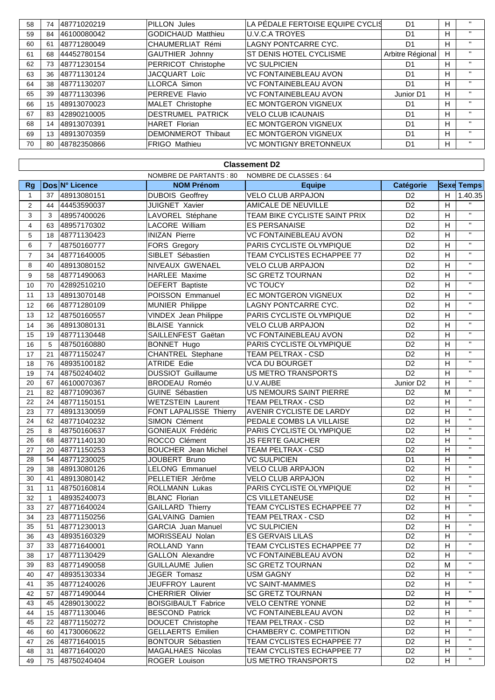| 58 | 74 | 48771020219 | <b>PILLON Jules</b>       | LA PÉDALE FERTOISE EQUIPE CYCLIS | D <sub>1</sub>   | H. | $\mathbf{H}$ |
|----|----|-------------|---------------------------|----------------------------------|------------------|----|--------------|
| 59 | 84 | 46100080042 | <b>GODICHAUD Matthieu</b> | <b>U.V.C.A TROYES</b>            | D <sub>1</sub>   | н  | $\mathbf{u}$ |
| 60 | 61 | 48771280049 | CHAUMERLIAT Rémi          | LAGNY PONTCARRE CYC.             | D1               | H. | $\mathbf{H}$ |
| 61 | 68 | 44452780154 | GAUTHIER Johnny           | ST DENIS HOTEL CYCLISME          | Arbitre Régional | H  | $\mathbf{H}$ |
| 62 | 73 | 48771230154 | PERRICOT Christophe       | <b>VC SULPICIEN</b>              | D1               | H  | $\mathbf{H}$ |
| 63 | 36 | 48771130124 | <b>JACQUART Loïc</b>      | <b>VC FONTAINEBLEAU AVON</b>     | D1               | H  | $\mathbf{H}$ |
| 64 | 38 | 48771130207 | <b>LLORCA Simon</b>       | <b>VC FONTAINEBLEAU AVON</b>     | D <sub>1</sub>   | н  | $\mathbf{H}$ |
| 65 | 39 | 48771130396 | PERREVE Flavio            | <b>VC FONTAINEBLEAU AVON</b>     | Junior D1        | H  | $\mathbf{u}$ |
| 66 | 15 | 48913070023 | MALET Christophe          | <b>EC MONTGERON VIGNEUX</b>      | D1               | H  | $\mathbf{H}$ |
| 67 | 83 | 42890210005 | <b>DESTRUMEL PATRICK</b>  | <b>VELO CLUB ICAUNAIS</b>        | D <sub>1</sub>   | H  | $\mathbf{H}$ |
| 68 | 14 | 48913070391 | <b>HARET Florian</b>      | <b>EC MONTGERON VIGNEUX</b>      | D <sub>1</sub>   | H  | $\mathbf{H}$ |
| 69 | 13 | 48913070359 | DEMONMEROT Thibaut        | <b>EC MONTGERON VIGNEUX</b>      | D <sub>1</sub>   | н  | $\mathbf{H}$ |
| 70 | 80 | 48782350866 | <b>FRIGO Mathieu</b>      | <b>VC MONTIGNY BRETONNEUX</b>    | D <sub>1</sub>   | H  | $\mathbf{H}$ |

|                | <b>Classement D2</b> |                |                               |                                   |                       |                |                         |  |  |
|----------------|----------------------|----------------|-------------------------------|-----------------------------------|-----------------------|----------------|-------------------------|--|--|
|                |                      |                | <b>NOMBRE DE PARTANTS: 80</b> | NOMBRE DE CLASSES : 64            |                       |                |                         |  |  |
| <b>Rg</b>      |                      | Dos N° Licence | <b>NOM Prénom</b>             | <b>Equipe</b>                     | <b>Catégorie</b>      |                | <b>Sexe Temps</b>       |  |  |
| 1              | 37                   | 48913080151    | <b>DUBOIS Geoffrey</b>        | <b>VELO CLUB ARPAJON</b>          | D <sub>2</sub>        | H.             | 1.40.35                 |  |  |
| 2              | 44                   | 44453590037    | JUIGNET Xavier                | AMICALE DE NEUVILLE               | D <sub>2</sub>        | H              |                         |  |  |
| 3              | 3                    | 48957400026    | LAVOREL Stéphane              | TEAM BIKE CYCLISTE SAINT PRIX     | D <sub>2</sub>        | H              | $\mathbf{H}$            |  |  |
| 4              | 63                   | 48957170302    | LACORE William                | <b>ES PERSANAISE</b>              | D <sub>2</sub>        | H              | $\mathbf{H}$            |  |  |
| 5              | 18                   | 48771130423    | <b>INIZAN Pierre</b>          | <b>VC FONTAINEBLEAU AVON</b>      | D <sub>2</sub>        | H              | $\mathbf{H}$            |  |  |
| 6              | $\overline{7}$       | 48750160777    | <b>FORS Gregory</b>           | PARIS CYCLISTE OLYMPIQUE          | D <sub>2</sub>        | H              | $\mathbf{H}$            |  |  |
| $\overline{7}$ | 34                   | 48771640005    | SIBLET Sébastien              | TEAM CYCLISTES ECHAPPEE 77        | D <sub>2</sub>        | H              | $\mathbf{H}$            |  |  |
| 8              | 40                   | 48913080152    | NIVEAUX GWENAEL               | <b>VELO CLUB ARPAJON</b>          | D <sub>2</sub>        | H              | $\mathbf{H}$            |  |  |
| 9              | 58                   | 48771490063    | HARLEE Maxime                 | <b>SC GRETZ TOURNAN</b>           | D <sub>2</sub>        | H              | $\mathbf{H}$            |  |  |
| 10             | 70                   | 42892510210    | DEFERT Baptiste               | <b>VC TOUCY</b>                   | D <sub>2</sub>        | H              | $\mathbf{H}$            |  |  |
| 11             | 13                   | 48913070148    | POISSON Emmanuel              | EC MONTGERON VIGNEUX              | D <sub>2</sub>        | H              | $\mathbf{H}$            |  |  |
| 12             | 66                   | 48771280109    | <b>MUNIER Philippe</b>        | LAGNY PONTCARRE CYC.              | D <sub>2</sub>        | H              | $\mathbf{H}$            |  |  |
| 13             | 12                   | 48750160557    | <b>VINDEX Jean Philippe</b>   | PARIS CYCLISTE OLYMPIQUE          | D <sub>2</sub>        | H              | $\mathbf{H}$            |  |  |
| 14             | 36                   | 48913080131    | <b>BLAISE Yannick</b>         | <b>VELO CLUB ARPAJON</b>          | D <sub>2</sub>        | H              | $\mathbf{H}$            |  |  |
| 15             | 19                   | 48771130448    | SAILLENFEST Gaëtan            | <b>VC FONTAINEBLEAU AVON</b>      | D <sub>2</sub>        | H              | $\mathbf{H}$            |  |  |
| 16             | 5                    | 48750160880    | <b>BONNET Hugo</b>            | PARIS CYCLISTE OLYMPIQUE          | D <sub>2</sub>        | H              | $\mathbf{H}$            |  |  |
| 17             | 21                   | 48771150247    | CHANTREL Stephane             | TEAM PELTRAX - CSD                | D <sub>2</sub>        | H              | $\mathbf{H}$            |  |  |
| 18             | 76                   | 48935100182    | <b>ATRIDE Edie</b>            | <b>VCA DU BOURGET</b>             | D <sub>2</sub>        | Η              | $\mathbf{H}$            |  |  |
| 19             | 74                   | 48750240402    | <b>DUSSIOT Guillaume</b>      | US METRO TRANSPORTS               | $\overline{D2}$       | Η              | $\mathbf{H}$            |  |  |
| 20             | 67                   | 46100070367    | <b>BRODEAU Roméo</b>          | U.V.AUBE                          | Junior D <sub>2</sub> | $\overline{H}$ | $\mathbf{H}$            |  |  |
| 21             | 82                   | 48771090367    | GUINE Sébastien               | US NEMOURS SAINT PIERRE           | D <sub>2</sub>        | M              | $\mathbf{H}$            |  |  |
| 22             | 24                   | 48771150151    | <b>WETZSTEIN Laurent</b>      | TEAM PELTRAX - CSD                | D <sub>2</sub>        | H              | $\mathbf{H}$            |  |  |
| 23             | 77                   | 48913130059    | FONT LAPALISSE Thierry        | AVENIR CYCLISTE DE LARDY          | $\overline{D2}$       | Н              | $\mathbf{H}$            |  |  |
| 24             | 62                   | 48771040232    | SIMON Clément                 | PEDALE COMBS LA VILLAISE          | D <sub>2</sub>        | Н              | $\mathbf{H}$            |  |  |
| 25             | 8                    | 48750160637    | <b>GONIEAUX Frédéric</b>      | PARIS CYCLISTE OLYMPIQUE          | D <sub>2</sub>        | H              | $\mathbf{H}$            |  |  |
| 26             | 68                   | 48771140130    | ROCCO Clément                 | <b>JS FERTE GAUCHER</b>           | D <sub>2</sub>        | H              | $\mathbf{H}$            |  |  |
| 27             | 20                   | 48771150253    | <b>BOUCHER</b> Jean Michel    | TEAM PELTRAX - CSD                | D <sub>2</sub>        | H              | $\mathbf{H}$            |  |  |
| 28             | 54                   | 48771230025    | JOUBERT Bruno                 | <b>VC SULPICIEN</b>               | D <sub>1</sub>        | H              | $\mathbf{H}$            |  |  |
| 29             | 38                   | 48913080126    | <b>LELONG Emmanuel</b>        | <b>VELO CLUB ARPAJON</b>          | D <sub>2</sub>        | H              | $\mathbf{H}$            |  |  |
| 30             | 41                   | 48913080142    | PELLETIER Jérôme              | <b>VELO CLUB ARPAJON</b>          | D <sub>2</sub>        | Н              | $\mathbf{H}$            |  |  |
| 31             | 11                   | 48750160814    | ROLLMANN Lukas                | PARIS CYCLISTE OLYMPIQUE          | D <sub>2</sub>        | H              | $\mathbf{H}$            |  |  |
| 32             | $\mathbf{1}$         | 48935240073    | <b>BLANC Florian</b>          | <b>CS VILLETANEUSE</b>            | D <sub>2</sub>        | H              | $\mathbf{H}$            |  |  |
| 33             | 27                   | 48771640024    | GAILLARD Thierry              | TEAM CYCLISTES ECHAPPEE 77        | D <sub>2</sub>        | H              | $\mathbf{H}$            |  |  |
| 34             | 23                   | 48771150256    | <b>GALVAING Damien</b>        | <b>TEAM PELTRAX - CSD</b>         | D <sub>2</sub>        | H              | $\mathbf{H}$            |  |  |
| 35             | 51                   | 48771230013    | <b>GARCIA Juan Manuel</b>     | <b>VC SULPICIEN</b>               | D <sub>2</sub>        | $\overline{H}$ | $\overline{\mathbf{u}}$ |  |  |
| 36             |                      | 43 48935160329 | MORISSEAU Nolan               | <b>ES GERVAIS LILAS</b>           | D <sub>2</sub>        | H.             | $\mathbf{H}$            |  |  |
| 37             | 33                   | 48771640001    | ROLLAND Yann                  | TEAM CYCLISTES ECHAPPEE 77        | D <sub>2</sub>        | H              | $\mathbf{H}$            |  |  |
| 38             | 17                   | 48771130429    | <b>GALLON Alexandre</b>       | VC FONTAINEBLEAU AVON             | D <sub>2</sub>        | Н              |                         |  |  |
| 39             | 83                   | 48771490058    | <b>GUILLAUME Julien</b>       | <b>SC GRETZ TOURNAN</b>           | D <sub>2</sub>        | м              | $\mathbf{H}$            |  |  |
| 40             | 47                   | 48935130334    | JEGER Tomasz                  | USM GAGNY                         | D <sub>2</sub>        | H              | $\mathbf{H}$            |  |  |
| 41             | 35                   | 48771240026    | JEUFFROY Laurent              | VC SAINT-MAMMES                   | D <sub>2</sub>        | н              |                         |  |  |
| 42             | 57                   | 48771490044    | <b>CHERRIER Olivier</b>       | <b>SC GRETZ TOURNAN</b>           | D <sub>2</sub>        | н              | $\mathbf{H}$            |  |  |
| 43             | 45                   | 42890130022    | <b>BOISGIBAULT Fabrice</b>    | <b>VELO CENTRE YONNE</b>          | D <sub>2</sub>        | н              | $\mathbf{H}$            |  |  |
| 44             |                      | 15 48771130046 | <b>BESCOND Patrick</b>        | <b>VC FONTAINEBLEAU AVON</b>      | D <sub>2</sub>        | н              | $\mathbf{H}$            |  |  |
| 45             | 22                   | 48771150272    | DOUCET Christophe             | TEAM PELTRAX - CSD                | D <sub>2</sub>        | H              | $\mathbf{H}$            |  |  |
| 46             | 60                   | 41730060622    | <b>GELLAERTS Emilien</b>      | CHAMBERY C. COMPETITION           | D <sub>2</sub>        | н              | $\mathbf{H}$            |  |  |
| 47             |                      | 26 48771640015 | <b>BONTOUR Sébastien</b>      | <b>TEAM CYCLISTES ECHAPPEE 77</b> | D <sub>2</sub>        | н              | $\mathbf{H}$            |  |  |
| 48             | 31                   | 48771640020    | MAGALHAES Nicolas             | TEAM CYCLISTES ECHAPPEE 77        | D <sub>2</sub>        | н              | $\mathbf{H}$            |  |  |
| 49             |                      | 75 48750240404 | ROGER Louison                 | US METRO TRANSPORTS               | D <sub>2</sub>        | H              | $\mathbf{H}$            |  |  |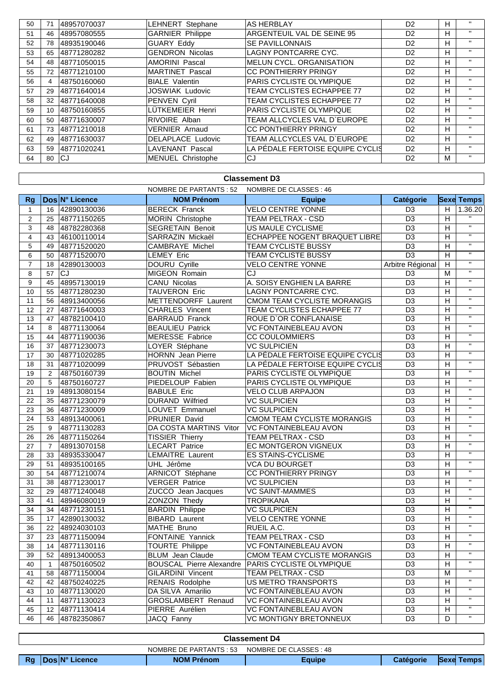| 50 | 71 | 48957070037 | <b>LEHNERT</b> Stephane  | <b>AS HERBLAY</b>                 | D <sub>2</sub> | H. | $\mathbf{H}$ |
|----|----|-------------|--------------------------|-----------------------------------|----------------|----|--------------|
| 51 | 46 | 48957080555 | <b>GARNIER Philippe</b>  | ARGENTEUIL VAL DE SEINE 95        | D <sub>2</sub> | н  | $\mathbf{H}$ |
| 52 | 78 | 48935190046 | <b>GUARY Eddy</b>        | <b>SE PAVILLONNAIS</b>            | D <sub>2</sub> | н  | $\mathbf{H}$ |
| 53 | 65 | 48771280282 | <b>GENDRON Nicolas</b>   | <b>LAGNY PONTCARRE CYC.</b>       | D <sub>2</sub> | н  | $\mathbf{H}$ |
| 54 | 48 | 48771050015 | <b>AMORINI Pascal</b>    | <b>MELUN CYCL, ORGANISATION</b>   | D <sub>2</sub> | н  | $\mathbf{H}$ |
| 55 | 72 | 48771210100 | <b>MARTINET Pascal</b>   | <b>CC PONTHIERRY PRINGY</b>       | D <sub>2</sub> | н  | $\mathbf{H}$ |
| 56 | 4  | 48750160060 | <b>BIALE Valentin</b>    | PARIS CYCLISTE OLYMPIQUE          | D <sub>2</sub> | H. | $\mathbf{H}$ |
| 57 | 29 | 48771640014 | <b>JOSWIAK Ludovic</b>   | <b>TEAM CYCLISTES ECHAPPEE 77</b> | D <sub>2</sub> | н  | $\mathbf{H}$ |
| 58 | 32 | 48771640008 | PENVEN Cyril             | <b>TEAM CYCLISTES ECHAPPEE 77</b> | D <sub>2</sub> | н  | $\mathbf{H}$ |
| 59 | 10 | 48750160855 | LÜTKEMEIER Henri         | PARIS CYCLISTE OLYMPIQUE          | D <sub>2</sub> | н  | $\mathbf{H}$ |
| 60 | 50 | 48771630007 | RIVOIRE Alban            | TEAM ALLCYCLES VAL D`EUROPE       | D <sub>2</sub> | н  | $\mathbf{H}$ |
| 61 | 73 | 48771210018 | <b>VERNIER Arnaud</b>    | <b>CC PONTHIERRY PRINGY</b>       | D <sub>2</sub> | н  | $\mathbf{H}$ |
| 62 | 49 | 48771630037 | DELAPLACE Ludovic        | TEAM ALLCYCLES VAL D`EUROPE       | D <sub>2</sub> | н  | $\mathbf{H}$ |
| 63 | 59 | 48771020241 | <b>LAVENANT</b> Pascal   | LA PÉDALE FERTOISE EQUIPE CYCLIS  | D <sub>2</sub> | н  | $\mathbf{H}$ |
| 64 | 80 | lCJ         | <b>MENUEL Christophe</b> | CJ                                | D <sub>2</sub> | м  | $\mathbf{H}$ |

|                | <b>Classement D3</b>                                    |                |                                 |                                    |                  |                |                         |  |  |  |  |
|----------------|---------------------------------------------------------|----------------|---------------------------------|------------------------------------|------------------|----------------|-------------------------|--|--|--|--|
|                | <b>NOMBRE DE PARTANTS: 52</b><br>NOMBRE DE CLASSES : 46 |                |                                 |                                    |                  |                |                         |  |  |  |  |
| <b>Rg</b>      |                                                         | Dos N° Licence | <b>NOM Prénom</b>               | <b>Equipe</b>                      | <b>Catégorie</b> |                | <b>Sexe Temps</b>       |  |  |  |  |
| 1              | 16                                                      | 42890130036    | <b>BERECK Franck</b>            | <b>VELO CENTRE YONNE</b>           | D <sub>3</sub>   | H              | 1.36.20                 |  |  |  |  |
| 2              | 25                                                      | 48771150265    | MORIN Christophe                | <b>TEAM PELTRAX - CSD</b>          | $\overline{D3}$  | $\overline{H}$ |                         |  |  |  |  |
| 3              | 48                                                      | 48782280368    | <b>SEGRETAIN Benoit</b>         | US MAULE CYCLISME                  | D <sub>3</sub>   | H              | $\overline{u}$          |  |  |  |  |
| $\overline{4}$ | 43                                                      | 46100110014    | SARRAZIN Mickaël                | ECHAPPEE NOGENT BRAQUET LIBRE      | D <sub>3</sub>   | H              | $\overline{\mathbf{u}}$ |  |  |  |  |
| 5              | 49                                                      | 48771520020    | <b>CAMBRAYE Michel</b>          | TEAM CYCLISTE BUSSY                | D <sub>3</sub>   | H              | $\mathbf{H}$            |  |  |  |  |
| 6              | 50                                                      | 48771520070    | <b>LEMEY Eric</b>               | TEAM CYCLISTE BUSSY                | $\overline{D3}$  | $\overline{H}$ | $\overline{u}$          |  |  |  |  |
| $\overline{7}$ | 18                                                      | 42890130003    | DOURU Cyrille                   | <b>VELO CENTRE YONNE</b>           | Arbitre Régional | H              | $\overline{u}$          |  |  |  |  |
| 8              | 57                                                      | <b>CJ</b>      | MIGEON Romain                   | CJ                                 | D <sub>3</sub>   | M              | $\overline{\mathbf{u}}$ |  |  |  |  |
| 9              | 45                                                      | 48957130019    | <b>CANU Nicolas</b>             | A. SOISY ENGHIEN LA BARRE          | D <sub>3</sub>   | Н              | $\overline{\mathbf{u}}$ |  |  |  |  |
| 10             | 55                                                      | 48771280230    | <b>TAUVERON Eric</b>            | LAGNY PONTCARRE CYC.               | $\overline{D3}$  | Н              | $\mathbf{H}$            |  |  |  |  |
| 11             | 56                                                      | 48913400056    | METTENDORFF Laurent             | CMOM TEAM CYCLISTE MORANGIS        | D <sub>3</sub>   | н              | $\mathbf{H}$            |  |  |  |  |
| 12             | 27                                                      | 48771640003    | <b>CHARLES Vincent</b>          | TEAM CYCLISTES ECHAPPEE 77         | D <sub>3</sub>   | H              | $\mathbf{H}$            |  |  |  |  |
| 13             | 47                                                      | 48782100410    | <b>BARRAUD Franck</b>           | ROUE D'OR CONFLANAISE              | $\overline{D3}$  | Н              | $\overline{u}$          |  |  |  |  |
| 14             | 8                                                       | 48771130064    | <b>BEAULIEU Patrick</b>         | <b>VC FONTAINEBLEAU AVON</b>       | D <sub>3</sub>   | H              | $\overline{u}$          |  |  |  |  |
| 15             | 44                                                      | 48771190036    | <b>MERESSE Fabrice</b>          | <b>CC COULOMMIERS</b>              | D3               | н              | $\mathbf{H}$            |  |  |  |  |
| 16             | 37                                                      | 48771230073    | LOYER Stéphane                  | <b>VC SULPICIEN</b>                | $\overline{D3}$  | Н              | $\mathbf{H}$            |  |  |  |  |
| 17             | 30                                                      | 48771020285    | <b>HORNN</b> Jean Pierre        | LA PÉDALE FERTOISE EQUIPE CYCLIS   | $\overline{D3}$  | н              | $\overline{\mathbf{u}}$ |  |  |  |  |
| 18             | 31                                                      | 48771020099    | PRUVOST Sébastien               | LA PÉDALE FERTOISE EQUIPE CYCLIS   | $\overline{D3}$  | H              | $\overline{\mathbf{u}}$ |  |  |  |  |
| 19             | $\overline{2}$                                          | 48750160739    | <b>BOUTIN Michel</b>            | PARIS CYCLISTE OLYMPIQUE           | D <sub>3</sub>   | н              | $\mathbf{H}$            |  |  |  |  |
| 20             | 5                                                       | 48750160727    | PIEDELOUP Fabien                | PARIS CYCLISTE OLYMPIQUE           | D <sub>3</sub>   | Н              | $\mathbf{H}$            |  |  |  |  |
| 21             | 19                                                      | 48913080154    | <b>BABULE Eric</b>              | <b>VELO CLUB ARPAJON</b>           | D <sub>3</sub>   | Н              | $\mathbf{H}$            |  |  |  |  |
| 22             | 35                                                      | 48771230079    | <b>DURAND Wilfried</b>          | <b>VC SULPICIEN</b>                | D <sub>3</sub>   | н              | $\mathbf{H}$            |  |  |  |  |
| 23             | 36                                                      | 48771230009    | LOUVET Emmanuel                 | <b>VC SULPICIEN</b>                | D <sub>3</sub>   | $\overline{H}$ | $\mathbf{u}$            |  |  |  |  |
| 24             | 53                                                      | 48913400061    | PRUNIER David                   | <b>CMOM TEAM CYCLISTE MORANGIS</b> | $\overline{D3}$  | Н              | $\overline{u}$          |  |  |  |  |
| 25             | 9                                                       | 48771130283    | DA COSTA MARTINS Vitor          | <b>VC FONTAINEBLEAU AVON</b>       | D <sub>3</sub>   | н              | $\mathbf{H}$            |  |  |  |  |
| 26             | 26                                                      | 48771150264    | <b>TISSIER Thierry</b>          | TEAM PELTRAX - CSD                 | D <sub>3</sub>   | н              | $\mathbf{H}$            |  |  |  |  |
| 27             | $\overline{7}$                                          | 48913070158    | <b>LECART Patrice</b>           | EC MONTGERON VIGNEUX               | D <sub>3</sub>   | Н              | $\overline{\mathbf{u}}$ |  |  |  |  |
| 28             | 33                                                      | 48935330047    | <b>LEMAITRE Laurent</b>         | <b>ES STAINS-CYCLISME</b>          | D <sub>3</sub>   | Η              | $\overline{u}$          |  |  |  |  |
| 29             | 51                                                      | 48935100165    | UHL Jérôme                      | <b>VCA DU BOURGET</b>              | D <sub>3</sub>   | H              | $\mathbf{H}$            |  |  |  |  |
| 30             | 54                                                      | 48771210074    | ARNICOT Stéphane                | <b>CC PONTHIERRY PRINGY</b>        | D <sub>3</sub>   | Н              | $\overline{\mathbf{u}}$ |  |  |  |  |
| 31             | 38                                                      | 48771230017    | <b>VERGER Patrice</b>           | <b>VC SULPICIEN</b>                | D <sub>3</sub>   | Н              | $\mathbf{H}$            |  |  |  |  |
| 32             | 29                                                      | 48771240048    | ZUCCO Jean Jacques              | VC SAINT-MAMMES                    | D <sub>3</sub>   | H              | $\mathbf{H}$            |  |  |  |  |
| 33             | 41                                                      | 48946080019    | ZONZON Thedy                    | <b>TROPIKANA</b>                   | D <sub>3</sub>   | Н              | $\mathbf{H}$            |  |  |  |  |
| 34             | 34                                                      | 48771230151    | <b>BARDIN Philippe</b>          | <b>VC SULPICIEN</b>                | D <sub>3</sub>   | $\overline{H}$ | $\overline{\mathbf{u}}$ |  |  |  |  |
| 35             | 17                                                      | 42890130032    | <b>BIBARD Laurent</b>           | <b>VELO CENTRE YONNE</b>           | $\overline{D3}$  | Н              | $\overline{\mathbf{u}}$ |  |  |  |  |
| 36             | 22                                                      | 48924030103    | MATHE Bruno                     | RUEIL A.C.                         | D <sub>3</sub>   | Н              | $\mathbf{H}$            |  |  |  |  |
| 37             | 23                                                      | 48771150094    | <b>FONTAINE Yannick</b>         | <b>TEAM PELTRAX - CSD</b>          | D <sub>3</sub>   | H              | $\mathbf{H}$            |  |  |  |  |
| 38             | 14                                                      | 48771130116    | <b>TOURTE Philippe</b>          | VC FONTAINEBLEAU AVON              | $\overline{D3}$  | H              | $\mathbf{u}$            |  |  |  |  |
| 39             | 52                                                      | 48913400053    | <b>BLUM</b> Jean Claude         | CMOM TEAM CYCLISTE MORANGIS        | D <sub>3</sub>   | H              | $\mathbf{H}$            |  |  |  |  |
| 40             | -1                                                      | 48750160502    | <b>BOUSCAL Pierre Alexandre</b> | PARIS CYCLISTE OLYMPIQUE           | D <sub>3</sub>   | Н.             |                         |  |  |  |  |
| 41             | 58                                                      | 48771150004    | <b>GILARDINI Vincent</b>        | TEAM PELTRAX - CSD                 | D <sub>3</sub>   | M              | $\mathbf{H}$            |  |  |  |  |
| 42             | 42                                                      | 48750240225    | RENAIS Rodolphe                 | US METRO TRANSPORTS                | D <sub>3</sub>   | H              | $\mathbf{H}$            |  |  |  |  |
| 43             | 10                                                      | 48771130020    | DA SILVA Amarilio               | VC FONTAINEBLEAU AVON              | D <sub>3</sub>   | н              |                         |  |  |  |  |
| 44             | 11                                                      | 48771130023    | GROSLAMBERT Renaud              | VC FONTAINEBLEAU AVON              | D <sub>3</sub>   | H              | $\mathbf{H}$            |  |  |  |  |
| 45             | 12                                                      | 48771130414    | PIERRE Aurélien                 | VC FONTAINEBLEAU AVON              | D <sub>3</sub>   | H              | $\mathbf{u}$            |  |  |  |  |
| 46             | 46                                                      | 48782350867    | JACQ Fanny                      | <b>VC MONTIGNY BRETONNEUX</b>      | $\overline{D3}$  | D              | $\overline{\mathbf{u}}$ |  |  |  |  |

| <b>Classement D4</b> |                         |                        |                  |                   |  |  |  |
|----------------------|-------------------------|------------------------|------------------|-------------------|--|--|--|
|                      | NOMBRE DE PARTANTS : 53 | NOMBRE DE CLASSES : 48 |                  |                   |  |  |  |
| Dos N° Licence<br>Rg | <b>NOM Prénom</b>       | Equipe                 | <b>Catégorie</b> | <b>Sexe Temps</b> |  |  |  |

 $\overline{\mathbf{1}}$